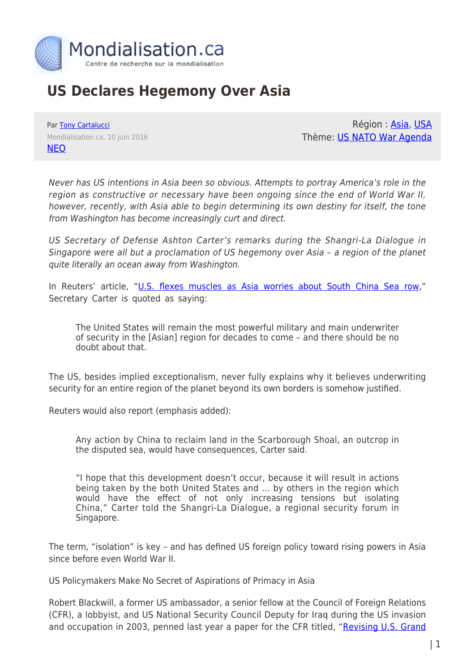

## **US Declares Hegemony Over Asia**

Par [Tony Cartalucci](https://www.mondialisation.ca/author/tony-cartalucci) Mondialisation.ca, 10 juin 2016 [NEO](http://journal-neo.org/2016/06/10/us-declares-hegemony-over-asia/)

Région : [Asia,](https://www.mondialisation.ca/region/asia) [USA](https://www.mondialisation.ca/region/usa) Thème: [US NATO War Agenda](https://www.mondialisation.ca/theme/us-nato-war-agenda)

Never has US intentions in Asia been so obvious. Attempts to portray America's role in the region as constructive or necessary have been ongoing since the end of World War II, however, recently, with Asia able to begin determining its own destiny for itself, the tone from Washington has become increasingly curt and direct.

US Secretary of Defense Ashton Carter's remarks during the Shangri-La Dialogue in Singapore were all but a proclamation of US hegemony over Asia – a region of the planet quite literally an ocean away from Washington.

In Reuters' article, ["U.S. flexes muscles as Asia worries about South China Sea row,](http://www.reuters.com/article/us-asia-security-idUSKCN0YQ01N)" Secretary Carter is quoted as saying:

The United States will remain the most powerful military and main underwriter of security in the [Asian] region for decades to come – and there should be no doubt about that.

The US, besides implied exceptionalism, never fully explains why it believes underwriting security for an entire region of the planet beyond its own borders is somehow justified.

Reuters would also report (emphasis added):

Any action by China to reclaim land in the Scarborough Shoal, an outcrop in the disputed sea, would have consequences, Carter said.

"I hope that this development doesn't occur, because it will result in actions being taken by the both United States and … by others in the region which would have the effect of not only increasing tensions but isolating China," Carter told the Shangri-La Dialogue, a regional security forum in Singapore.

The term, "isolation" is key – and has defined US foreign policy toward rising powers in Asia since before even World War II.

US Policymakers Make No Secret of Aspirations of Primacy in Asia

Robert Blackwill, a former US ambassador, a senior fellow at the Council of Foreign Relations (CFR), a lobbyist, and US National Security Council Deputy for Iraq during the US invasion and occupation in 2003, penned last year a paper for the CFR titled, "[Revising U.S. Grand](http://carnegieendowment.org/files/Tellis_Blackwill.pdf)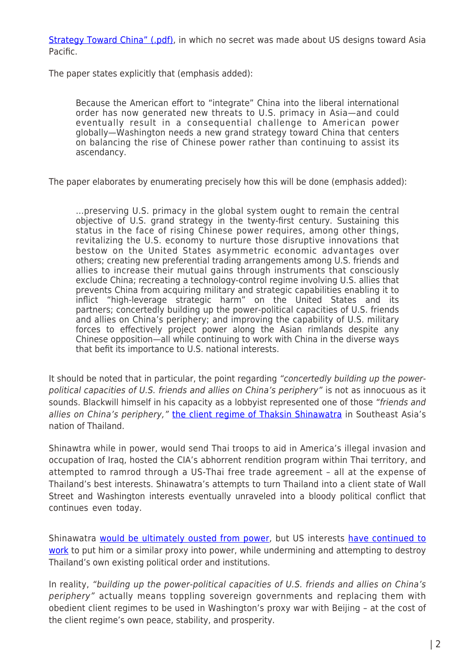[Strategy Toward China" \(.pdf\)](http://carnegieendowment.org/files/Tellis_Blackwill.pdf), in which no secret was made about US designs toward Asia Pacific.

The paper states explicitly that (emphasis added):

Because the American effort to "integrate" China into the liberal international order has now generated new threats to U.S. primacy in Asia—and could eventually result in a consequential challenge to American power globally—Washington needs a new grand strategy toward China that centers on balancing the rise of Chinese power rather than continuing to assist its ascendancy.

The paper elaborates by enumerating precisely how this will be done (emphasis added):

…preserving U.S. primacy in the global system ought to remain the central objective of U.S. grand strategy in the twenty-first century. Sustaining this status in the face of rising Chinese power requires, among other things, revitalizing the U.S. economy to nurture those disruptive innovations that bestow on the United States asymmetric economic advantages over others; creating new preferential trading arrangements among U.S. friends and allies to increase their mutual gains through instruments that consciously exclude China; recreating a technology-control regime involving U.S. allies that prevents China from acquiring military and strategic capabilities enabling it to inflict "high-leverage strategic harm" on the United States and its partners; concertedly building up the power-political capacities of U.S. friends and allies on China's periphery; and improving the capability of U.S. military forces to effectively project power along the Asian rimlands despite any Chinese opposition—all while continuing to work with China in the diverse ways that befit its importance to U.S. national interests.

It should be noted that in particular, the point regarding "concertedly building up the powerpolitical capacities of U.S. friends and allies on China's periphery" is not as innocuous as it sounds. Blackwill himself in his capacity as a lobbyist represented one of those "friends and allies on China's periphery," [the client regime of Thaksin Shinawatra](http://landdestroyer.blogspot.com/2014/05/thailand-coup-ousts-us-backed-dictator.html) in Southeast Asia's nation of Thailand.

Shinawtra while in power, would send Thai troops to aid in America's illegal invasion and occupation of Iraq, hosted the CIA's abhorrent rendition program within Thai territory, and attempted to ramrod through a US-Thai free trade agreement – all at the expense of Thailand's best interests. Shinawatra's attempts to turn Thailand into a client state of Wall Street and Washington interests eventually unraveled into a bloody political conflict that continues even today.

Shinawatra [would be ultimately ousted from power,](http://journal-neo.org/2014/05/26/thai-coup-stings-western-meddlers/) but US interests [have continued to](http://journal-neo.org/2016/04/24/us-lobbyists-meddling-in-thailand-a-concern-for-all-of-asia/) [work](http://journal-neo.org/2016/04/24/us-lobbyists-meddling-in-thailand-a-concern-for-all-of-asia/) to put him or a similar proxy into power, while undermining and attempting to destroy Thailand's own existing political order and institutions.

In reality, "building up the power-political capacities of U.S. friends and allies on China's periphery" actually means toppling sovereign governments and replacing them with obedient client regimes to be used in Washington's proxy war with Beijing – at the cost of the client regime's own peace, stability, and prosperity.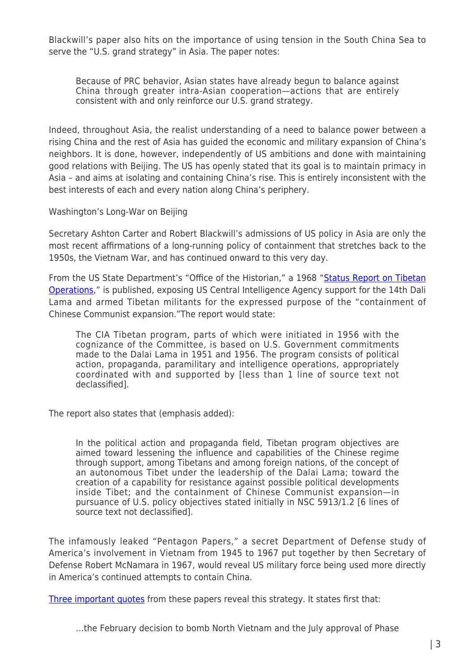Blackwill's paper also hits on the importance of using tension in the South China Sea to serve the "U.S. grand strategy" in Asia. The paper notes:

Because of PRC behavior, Asian states have already begun to balance against China through greater intra-Asian cooperation—actions that are entirely consistent with and only reinforce our U.S. grand strategy.

Indeed, throughout Asia, the realist understanding of a need to balance power between a rising China and the rest of Asia has guided the economic and military expansion of China's neighbors. It is done, however, independently of US ambitions and done with maintaining good relations with Beijing. The US has openly stated that its goal is to maintain primacy in Asia – and aims at isolating and containing China's rise. This is entirely inconsistent with the best interests of each and every nation along China's periphery.

Washington's Long-War on Beijing

Secretary Ashton Carter and Robert Blackwill's admissions of US policy in Asia are only the most recent affirmations of a long-running policy of containment that stretches back to the 1950s, the Vietnam War, and has continued onward to this very day.

From the US State Department's "Office of the Historian," a 1968 ["Status Report on Tibetan](https://history.state.gov/historicaldocuments/frus1964-68v30/d342) [Operations](https://history.state.gov/historicaldocuments/frus1964-68v30/d342)," is published, exposing US Central Intelligence Agency support for the 14th Dali Lama and armed Tibetan militants for the expressed purpose of the "containment of Chinese Communist expansion."The report would state:

The CIA Tibetan program, parts of which were initiated in 1956 with the cognizance of the Committee, is based on U.S. Government commitments made to the Dalai Lama in 1951 and 1956. The program consists of political action, propaganda, paramilitary and intelligence operations, appropriately coordinated with and supported by [less than 1 line of source text not declassified].

The report also states that (emphasis added):

In the political action and propaganda field, Tibetan program objectives are aimed toward lessening the influence and capabilities of the Chinese regime through support, among Tibetans and among foreign nations, of the concept of an autonomous Tibet under the leadership of the Dalai Lama; toward the creation of a capability for resistance against possible political developments inside Tibet; and the containment of Chinese Communist expansion—in pursuance of U.S. policy objectives stated initially in NSC 5913/1.2 [6 lines of source text not declassified].

The infamously leaked "Pentagon Papers," a secret Department of Defense study of America's involvement in Vietnam from 1945 to 1967 put together by then Secretary of Defense Robert McNamara in 1967, would reveal US military force being used more directly in America's continued attempts to contain China.

[Three important quotes](http://journal-neo.org/2014/06/10/tiananmen-2-0/) from these papers reveal this strategy. It states first that:

…the February decision to bomb North Vietnam and the July approval of Phase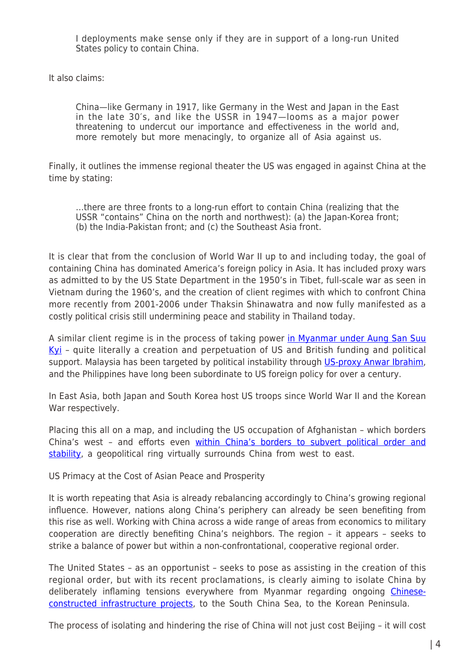I deployments make sense only if they are in support of a long-run United States policy to contain China.

It also claims:

China—like Germany in 1917, like Germany in the West and Japan in the East in the late 30′s, and like the USSR in 1947—looms as a major power threatening to undercut our importance and effectiveness in the world and, more remotely but more menacingly, to organize all of Asia against us.

Finally, it outlines the immense regional theater the US was engaged in against China at the time by stating:

…there are three fronts to a long-run effort to contain China (realizing that the USSR "contains" China on the north and northwest): (a) the Japan-Korea front; (b) the India-Pakistan front; and (c) the Southeast Asia front.

It is clear that from the conclusion of World War II up to and including today, the goal of containing China has dominated America's foreign policy in Asia. It has included proxy wars as admitted to by the US State Department in the 1950's in Tibet, full-scale war as seen in Vietnam during the 1960's, and the creation of client regimes with which to confront China more recently from 2001-2006 under Thaksin Shinawatra and now fully manifested as a costly political crisis still undermining peace and stability in Thailand today.

A similar client regime is in the process of taking power [in Myanmar under Aung San Suu](http://journal-neo.org/2016/04/07/myanmars-driver-president/) [Kyi](http://journal-neo.org/2016/04/07/myanmars-driver-president/) - quite literally a creation and perpetuation of US and British funding and political support. Malaysia has been targeted by political instability through US-proxy Anwar Ibrahim. and the Philippines have long been subordinate to US foreign policy for over a century.

In East Asia, both Japan and South Korea host US troops since World War II and the Korean War respectively.

Placing this all on a map, and including the US occupation of Afghanistan – which borders China's west – and efforts even [within China's borders to subvert political order and](http://journal-neo.org/2014/10/21/turmoil-in-hong-kong-terrorism-in-xinjiang-america-s-covert-war-on-china/) [stability,](http://journal-neo.org/2014/10/21/turmoil-in-hong-kong-terrorism-in-xinjiang-america-s-covert-war-on-china/) a geopolitical ring virtually surrounds China from west to east.

US Primacy at the Cost of Asian Peace and Prosperity

It is worth repeating that Asia is already rebalancing accordingly to China's growing regional influence. However, nations along China's periphery can already be seen benefiting from this rise as well. Working with China across a wide range of areas from economics to military cooperation are directly benefiting China's neighbors. The region – it appears – seeks to strike a balance of power but within a non-confrontational, cooperative regional order.

The United States – as an opportunist – seeks to pose as assisting in the creation of this regional order, but with its recent proclamations, is clearly aiming to isolate China by deliberately inflaming tensions everywhere from Myanmar regarding ongoing [Chinese](http://journal-neo.org/2014/11/03/us-struggles-to-keep-asia-in-dark-age/)[constructed infrastructure projects,](http://journal-neo.org/2014/11/03/us-struggles-to-keep-asia-in-dark-age/) to the South China Sea, to the Korean Peninsula.

The process of isolating and hindering the rise of China will not just cost Beijing – it will cost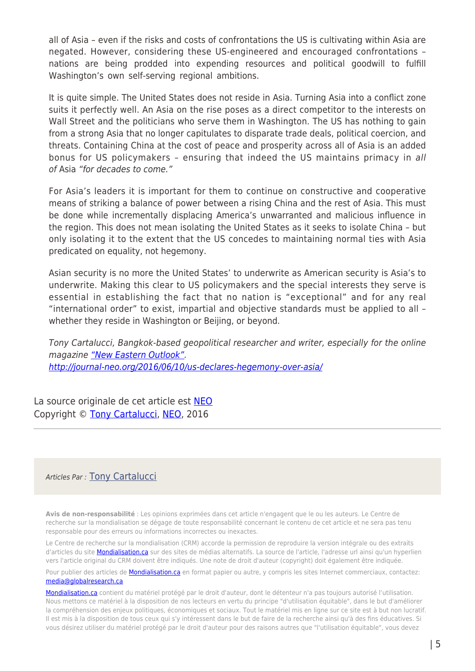all of Asia – even if the risks and costs of confrontations the US is cultivating within Asia are negated. However, considering these US-engineered and encouraged confrontations – nations are being prodded into expending resources and political goodwill to fulfill Washington's own self-serving regional ambitions.

It is quite simple. The United States does not reside in Asia. Turning Asia into a conflict zone suits it perfectly well. An Asia on the rise poses as a direct competitor to the interests on Wall Street and the politicians who serve them in Washington. The US has nothing to gain from a strong Asia that no longer capitulates to disparate trade deals, political coercion, and threats. Containing China at the cost of peace and prosperity across all of Asia is an added bonus for US policymakers – ensuring that indeed the US maintains primacy in all of Asia "for decades to come."

For Asia's leaders it is important for them to continue on constructive and cooperative means of striking a balance of power between a rising China and the rest of Asia. This must be done while incrementally displacing America's unwarranted and malicious influence in the region. This does not mean isolating the United States as it seeks to isolate China – but only isolating it to the extent that the US concedes to maintaining normal ties with Asia predicated on equality, not hegemony.

Asian security is no more the United States' to underwrite as American security is Asia's to underwrite. Making this clear to US policymakers and the special interests they serve is essential in establishing the fact that no nation is "exceptional" and for any real "international order" to exist, impartial and objective standards must be applied to all – whether they reside in Washington or Beijing, or beyond.

Tony Cartalucci, Bangkok-based geopolitical researcher and writer, especially for the online magazine ["New Eastern Outlook".](http://journal-neo.org/) <http://journal-neo.org/2016/06/10/us-declares-hegemony-over-asia/>

La source originale de cet article est [NEO](http://journal-neo.org/2016/06/10/us-declares-hegemony-over-asia/) Copyright © [Tony Cartalucci,](https://www.mondialisation.ca/author/tony-cartalucci) [NEO](http://journal-neo.org/2016/06/10/us-declares-hegemony-over-asia/), 2016

## Articles Par : [Tony Cartalucci](https://www.mondialisation.ca/author/tony-cartalucci)

**Avis de non-responsabilité** : Les opinions exprimées dans cet article n'engagent que le ou les auteurs. Le Centre de recherche sur la mondialisation se dégage de toute responsabilité concernant le contenu de cet article et ne sera pas tenu responsable pour des erreurs ou informations incorrectes ou inexactes.

Le Centre de recherche sur la mondialisation (CRM) accorde la permission de reproduire la version intégrale ou des extraits d'articles du site **Mondialisation.ca** sur des sites de médias alternatifs. La source de l'article, l'adresse url ainsi qu'un hyperlien vers l'article original du CRM doivent être indiqués. Une note de droit d'auteur (copyright) doit également être indiquée.

Pour publier des articles de [Mondialisation.ca](https://mondialisation.ca) en format papier ou autre, y compris les sites Internet commerciaux, contactez: [media@globalresearch.ca](mailto:media@globalresearch.ca)

[Mondialisation.ca](https://mondialisation.ca) contient du matériel protégé par le droit d'auteur, dont le détenteur n'a pas toujours autorisé l'utilisation. Nous mettons ce matériel à la disposition de nos lecteurs en vertu du principe "d'utilisation équitable", dans le but d'améliorer la compréhension des enjeux politiques, économiques et sociaux. Tout le matériel mis en ligne sur ce site est à but non lucratif. Il est mis à la disposition de tous ceux qui s'y intéressent dans le but de faire de la recherche ainsi qu'à des fins éducatives. Si vous désirez utiliser du matériel protégé par le droit d'auteur pour des raisons autres que "l'utilisation équitable", vous devez